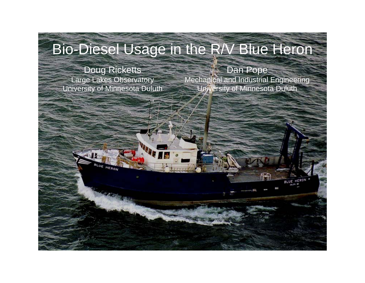#### Bio-Diesel Usage in the R/V Blue Heron

Doug Ricketts Large Lakes Observatory University of Minnesota Duluth

LUE HERON

Dan Pope Mechanical and Industrial Engineering University of Minnesota Duluth

BLUE HERON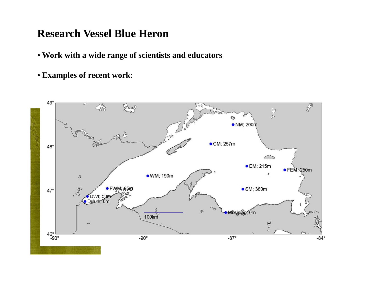#### **Research Vessel Blue Heron**

- **Work wi i fi i ith a wide range o f scientists and educators**
- **Examples of recent work:**

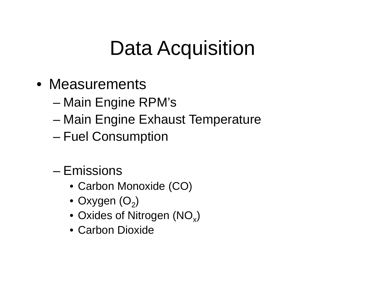## Data Acquisition

- Measurements
	- –Main Engine RPM's
	- –Main Engine Exhaust Temperature
	- Fuel Consumption
	- Emissions
		- Carbon Monoxide (CO)
		- $\bullet$  Oxygen (O $_2)$
		- $\bullet$  Oxides of Nitrogen (NO $_{\mathrm{\mathsf{x}}})$
		- Carbon Dioxide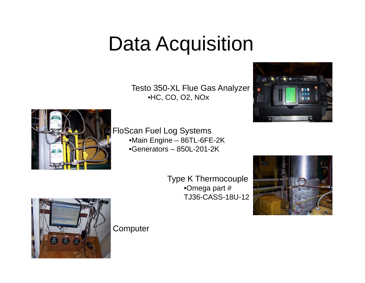## Data Acquisition

Testo 350-XL Flue Gas Analyzer •HC, CO, O2, NOx





FloScan Fuel Log Systems •Main Engine – 86TL-6FE-2K •Generators – 850L-201-2K

> Type K Thermocouple •Omega part # TJ36-CASS-18U-12





**Computer**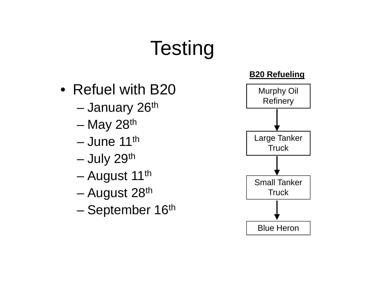# **Testing**

- Refuel with  $B20$  Murphy O
	- –January 26<sup>th</sup>
	- May 28<sup>th</sup> and the state of the state
	- June 11<sup>th</sup>
	- July 29<sup>th</sup> and the state of the state
	- –August 11<sup>th</sup>
	- and the state of the state August 28th 28 Truck
	- and the state of the state September 16<sup>th</sup>

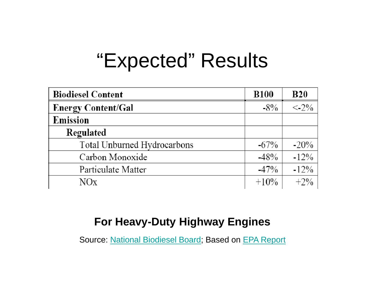## "Expected" Results

| <b>Biodiesel Content</b>    | <b>B100</b> | <b>B20</b>               |
|-----------------------------|-------------|--------------------------|
| <b>Energy Content/Gal</b>   | $-8\%$      | $\langle -2.2\% \rangle$ |
| Emission                    |             |                          |
| Regulated                   |             |                          |
| Total Unburned Hydrocarbons | $-67\%$     | $-20\%$                  |
| Carbon Monoxide             | $-48%$      | $-12\%$                  |
| Particulate Matter          | $-47%$      | $-12\%$                  |
| $NO_X$                      | $+10\%$     | $+2\%$                   |

#### **For Heavy-Duty Highway Engines**

Source: National Biodiesel Board; Based on EPA Report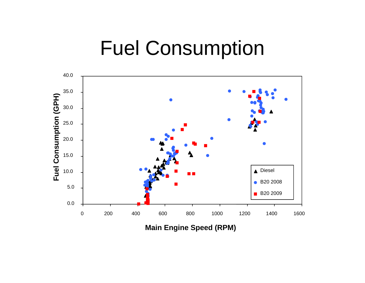#### Fuel Consumption



**Main En gine S peed (RPM) g p( )**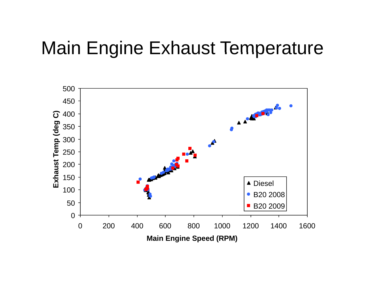#### Main Engine Exhaust Temperature

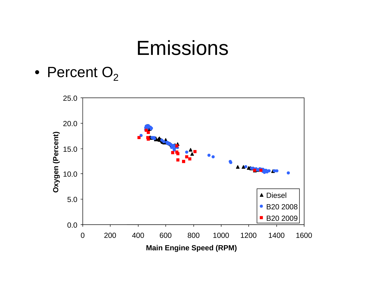$\bullet\,$  Percent  ${\rm O}_2$ 

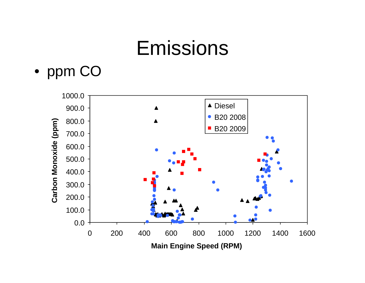

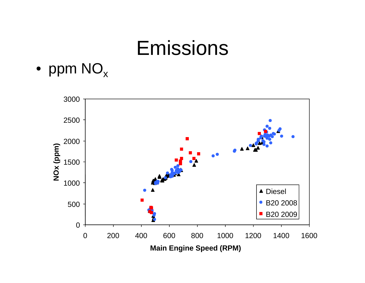

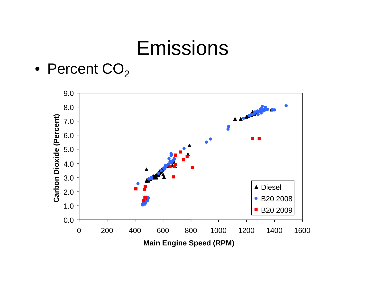$\bullet\,$  Percent  $\mathsf{CO}_2$ 

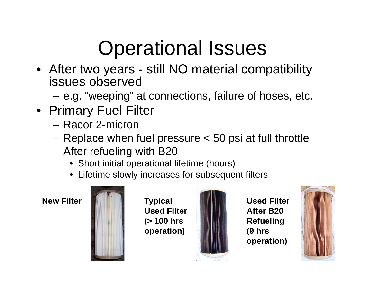# Operational Issues

- After two years still NO material compatibility issues observed
	- e.g. "weeping" at connections, failure of hoses, etc.
- Primary Fuel Filter
	- Racor 2-micron
	- –Replace when fuel pressure < 50 psi at full throttle
	- After refueling with B20
		- Short initial operational lifetime (hours)
		- Lifetime slowly increases for subsequent filters



**Typical Used Filter (> 100 hrs operation)**



**New Filter Used Filter After B20 Refueling (9 hrs operation)**

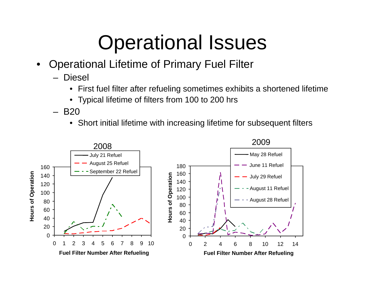## Operational Issues

- • Operational Lifetime of Primary Fuel Filter
	- Diesel
		- $\bullet~$  First fuel filter after refueling sometimes exhibits a shortened lifetime
		- $\bullet$ Typical lifetime of filters from 100 to 200 hrs
	- – B20
		- $\bullet~$  Short initial lifetime with increasing lifetime for subsequent filters

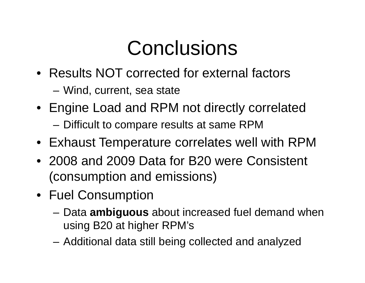## **Conclusions**

- Results NOT corrected for external factors
	- Wind, current, sea state
- Engine Load and RPM not directly correlated
	- $-$  Difficult to compare results at same RPM
- Exhaust Temperature correlates well with RPM
- 2008 and 2009 Data for B20 were Consistent (consumption and emissions)
- Fuel Consumption
	- Data **ambiguous** about increased fuel demand when using B20 at higher RPM's
	- Additional data still being collected and analyzed